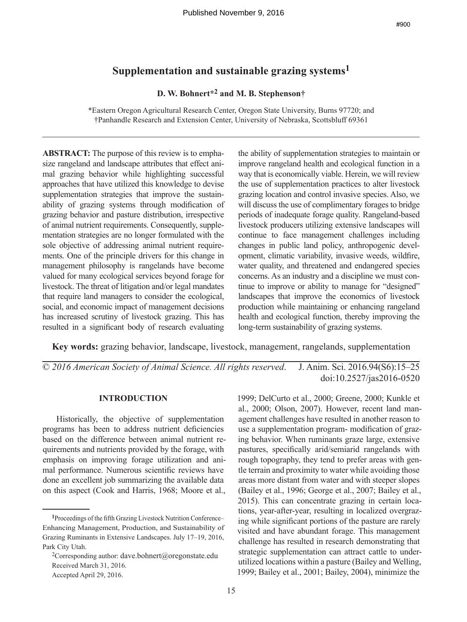# **Supplementation and sustainable grazing systems<sup>1</sup>**

**D. W. Bohnert\*2 and M. B. Stephenson†**

\*Eastern Oregon Agricultural Research Center, Oregon State University, Burns 97720; and †Panhandle Research and Extension Center, University of Nebraska, Scottsbluff 69361

**ABSTRACT:** The purpose of this review is to emphasize rangeland and landscape attributes that effect animal grazing behavior while highlighting successful approaches that have utilized this knowledge to devise supplementation strategies that improve the sustainability of grazing systems through modification of grazing behavior and pasture distribution, irrespective of animal nutrient requirements. Consequently, supplementation strategies are no longer formulated with the sole objective of addressing animal nutrient requirements. One of the principle drivers for this change in management philosophy is rangelands have become valued for many ecological services beyond forage for livestock. The threat of litigation and/or legal mandates that require land managers to consider the ecological, social, and economic impact of management decisions has increased scrutiny of livestock grazing. This has resulted in a significant body of research evaluating the ability of supplementation strategies to maintain or improve rangeland health and ecological function in a way that is economically viable. Herein, we will review the use of supplementation practices to alter livestock grazing location and control invasive species. Also, we will discuss the use of complimentary forages to bridge periods of inadequate forage quality. Rangeland-based livestock producers utilizing extensive landscapes will continue to face management challenges including changes in public land policy, anthropogenic development, climatic variability, invasive weeds, wildfire, water quality, and threatened and endangered species concerns. As an industry and a discipline we must continue to improve or ability to manage for "designed" landscapes that improve the economics of livestock production while maintaining or enhancing rangeland health and ecological function, thereby improving the long-term sustainability of grazing systems.

**Key words:** grazing behavior, landscape, livestock, management, rangelands, supplementation

© *2016 American Society of Animal Science. All rights reserved*. J. Anim. Sci. 2016.94(S6):15–25 doi:10.2527/jas2016-0520

#### **INTRODUCTION**

Historically, the objective of supplementation programs has been to address nutrient deficiencies based on the difference between animal nutrient requirements and nutrients provided by the forage, with emphasis on improving forage utilization and animal performance. Numerous scientific reviews have done an excellent job summarizing the available data on this aspect (Cook and Harris, 1968; Moore et al.,

al., 2000; Olson, 2007). However, recent land management challenges have resulted in another reason to use a supplementation program- modification of grazing behavior. When ruminants graze large, extensive pastures, specifically arid/semiarid rangelands with rough topography, they tend to prefer areas with gentle terrain and proximity to water while avoiding those areas more distant from water and with steeper slopes (Bailey et al., 1996; George et al., 2007; Bailey et al., 2015). This can concentrate grazing in certain locations, year-after-year, resulting in localized overgrazing while significant portions of the pasture are rarely visited and have abundant forage. This management challenge has resulted in research demonstrating that strategic supplementation can attract cattle to underutilized locations within a pasture (Bailey and Welling, 1999; Bailey et al., 2001; Bailey, 2004), minimize the

1999; DelCurto et al., 2000; Greene, 2000; Kunkle et

**<sup>1</sup>**Proceedings of the fifth Grazing Livestock Nutrition Conference– Enhancing Management, Production, and Sustainability of Grazing Ruminants in Extensive Landscapes. July 17–19, 2016, Park City Utah.

<sup>&</sup>lt;sup>2</sup>Corresponding author: dave.bohnert@oregonstate.edu Received March 31, 2016. Accepted April 29, 2016.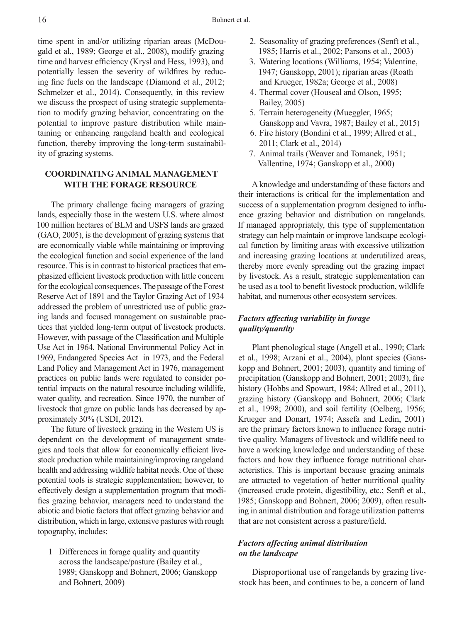time spent in and/or utilizing riparian areas (McDougald et al., 1989; George et al., 2008), modify grazing time and harvest efficiency (Krysl and Hess, 1993), and potentially lessen the severity of wildfires by reducing fine fuels on the landscape (Diamond et al., 2012; Schmelzer et al., 2014). Consequently, in this review we discuss the prospect of using strategic supplementation to modify grazing behavior, concentrating on the potential to improve pasture distribution while maintaining or enhancing rangeland health and ecological function, thereby improving the long-term sustainability of grazing systems.

# **Coordinating Animal Management with THE Forage RESOURCE**

The primary challenge facing managers of grazing lands, especially those in the western U.S. where almost 100 million hectares of BLM and USFS lands are grazed (GAO, 2005), is the development of grazing systems that are economically viable while maintaining or improving the ecological function and social experience of the land resource. This is in contrast to historical practices that emphasized efficient livestock production with little concern for the ecological consequences. The passage of the Forest Reserve Act of 1891 and the Taylor Grazing Act of 1934 addressed the problem of unrestricted use of public grazing lands and focused management on sustainable practices that yielded long-term output of livestock products. However, with passage of the Classification and Multiple Use Act in 1964, National Environmental Policy Act in 1969, Endangered Species Act in 1973, and the Federal Land Policy and Management Act in 1976, management practices on public lands were regulated to consider potential impacts on the natural resource including wildlife, water quality, and recreation. Since 1970, the number of livestock that graze on public lands has decreased by approximately 30% (USDI, 2012).

The future of livestock grazing in the Western US is dependent on the development of management strategies and tools that allow for economically efficient livestock production while maintaining/improving rangeland health and addressing wildlife habitat needs. One of these potential tools is strategic supplementation; however, to effectively design a supplementation program that modifies grazing behavior, managers need to understand the abiotic and biotic factors that affect grazing behavior and distribution, which in large, extensive pastures with rough topography, includes:

1 Differences in forage quality and quantity across the landscape/pasture (Bailey et al., 1989; Ganskopp and Bohnert, 2006; Ganskopp and Bohnert, 2009)

- 2. Seasonality of grazing preferences (Senft et al., 1985; Harris et al., 2002; Parsons et al., 2003)
- 3. Watering locations (Williams, 1954; Valentine, 1947; Ganskopp, 2001); riparian areas (Roath and Krueger, 1982a; George et al., 2008)
- 4. Thermal cover (Houseal and Olson, 1995; Bailey, 2005)
- 5. Terrain heterogeneity (Mueggler, 1965; Ganskopp and Vavra, 1987; Bailey et al., 2015)
- 6. Fire history (Bondini et al., 1999; Allred et al., 2011; Clark et al., 2014)
- 7. Animal trails (Weaver and Tomanek, 1951; Vallentine, 1974; Ganskopp et al., 2000)

A knowledge and understanding of these factors and their interactions is critical for the implementation and success of a supplementation program designed to influence grazing behavior and distribution on rangelands. If managed appropriately, this type of supplementation strategy can help maintain or improve landscape ecological function by limiting areas with excessive utilization and increasing grazing locations at underutilized areas, thereby more evenly spreading out the grazing impact by livestock. As a result, strategic supplementation can be used as a tool to benefit livestock production, wildlife habitat, and numerous other ecosystem services.

# *Factors affecting variability in forage quality/quantity*

Plant phenological stage (Angell et al., 1990; Clark et al., 1998; Arzani et al., 2004), plant species (Ganskopp and Bohnert, 2001; 2003), quantity and timing of precipitation (Ganskopp and Bohnert, 2001; 2003), fire history (Hobbs and Spowart, 1984; Allred et al., 2011), grazing history (Ganskopp and Bohnert, 2006; Clark et al., 1998; 2000), and soil fertility (Oelberg, 1956; Krueger and Donart, 1974; Assefa and Ledin, 2001) are the primary factors known to influence forage nutritive quality. Managers of livestock and wildlife need to have a working knowledge and understanding of these factors and how they influence forage nutritional characteristics. This is important because grazing animals are attracted to vegetation of better nutritional quality (increased crude protein, digestibility, etc.; Senft et al., 1985; Ganskopp and Bohnert, 2006; 2009), often resulting in animal distribution and forage utilization patterns that are not consistent across a pasture/field.

## *Factors affecting animal distribution on the landscape*

Disproportional use of rangelands by grazing livestock has been, and continues to be, a concern of land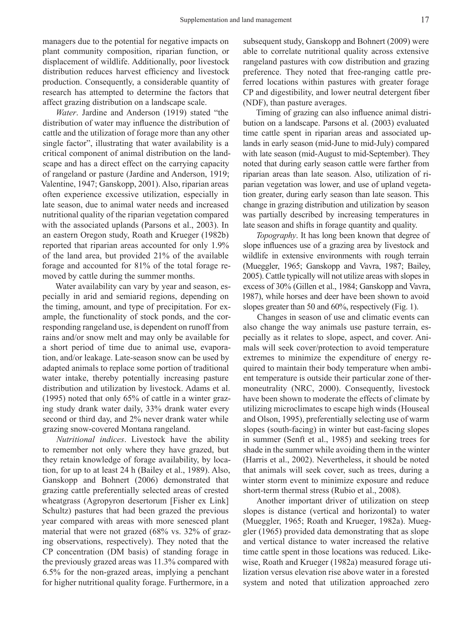managers due to the potential for negative impacts on plant community composition, riparian function, or displacement of wildlife. Additionally, poor livestock distribution reduces harvest efficiency and livestock production. Consequently, a considerable quantity of research has attempted to determine the factors that affect grazing distribution on a landscape scale.

*Water*. Jardine and Anderson (1919) stated "the distribution of water may influence the distribution of cattle and the utilization of forage more than any other single factor", illustrating that water availability is a critical component of animal distribution on the landscape and has a direct effect on the carrying capacity of rangeland or pasture (Jardine and Anderson, 1919; Valentine, 1947; Ganskopp, 2001). Also, riparian areas often experience excessive utilization, especially in late season, due to animal water needs and increased nutritional quality of the riparian vegetation compared with the associated uplands (Parsons et al., 2003). In an eastern Oregon study, Roath and Krueger (1982b) reported that riparian areas accounted for only 1.9% of the land area, but provided 21% of the available forage and accounted for 81% of the total forage removed by cattle during the summer months.

Water availability can vary by year and season, especially in arid and semiarid regions, depending on the timing, amount, and type of precipitation. For example, the functionality of stock ponds, and the corresponding rangeland use, is dependent on runoff from rains and/or snow melt and may only be available for a short period of time due to animal use, evaporation, and/or leakage. Late-season snow can be used by adapted animals to replace some portion of traditional water intake, thereby potentially increasing pasture distribution and utilization by livestock. Adams et al. (1995) noted that only 65% of cattle in a winter grazing study drank water daily, 33% drank water every second or third day, and 2% never drank water while grazing snow-covered Montana rangeland.

*Nutritional indices*. Livestock have the ability to remember not only where they have grazed, but they retain knowledge of forage availability, by location, for up to at least 24 h (Bailey et al., 1989). Also, Ganskopp and Bohnert (2006) demonstrated that grazing cattle preferentially selected areas of crested wheatgrass (Agropyron desertorum [Fisher ex Link] Schultz) pastures that had been grazed the previous year compared with areas with more senesced plant material that were not grazed (68% vs. 32% of grazing observations, respectively). They noted that the CP concentration (DM basis) of standing forage in the previously grazed areas was 11.3% compared with 6.5% for the non-grazed areas, implying a penchant for higher nutritional quality forage. Furthermore, in a

subsequent study, Ganskopp and Bohnert (2009) were able to correlate nutritional quality across extensive rangeland pastures with cow distribution and grazing preference. They noted that free-ranging cattle preferred locations within pastures with greater forage CP and digestibility, and lower neutral detergent fiber (NDF), than pasture averages.

Timing of grazing can also influence animal distribution on a landscape. Parsons et al. (2003) evaluated time cattle spent in riparian areas and associated uplands in early season (mid-June to mid-July) compared with late season (mid-August to mid-September). They noted that during early season cattle were farther from riparian areas than late season. Also, utilization of riparian vegetation was lower, and use of upland vegetation greater, during early season than late season. This change in grazing distribution and utilization by season was partially described by increasing temperatures in late season and shifts in forage quantity and quality.

*Topography*. It has long been known that degree of slope influences use of a grazing area by livestock and wildlife in extensive environments with rough terrain (Mueggler, 1965; Ganskopp and Vavra, 1987; Bailey, 2005). Cattle typically will not utilize areas with slopes in excess of 30% (Gillen et al., 1984; Ganskopp and Vavra, 1987), while horses and deer have been shown to avoid slopes greater than 50 and 60%, respectively (Fig. 1).

Changes in season of use and climatic events can also change the way animals use pasture terrain, especially as it relates to slope, aspect, and cover. Animals will seek cover/protection to avoid temperature extremes to minimize the expenditure of energy required to maintain their body temperature when ambient temperature is outside their particular zone of thermoneutrality (NRC, 2000). Consequently, livestock have been shown to moderate the effects of climate by utilizing microclimates to escape high winds (Houseal and Olson, 1995), preferentially selecting use of warm slopes (south-facing) in winter but east-facing slopes in summer (Senft et al., 1985) and seeking trees for shade in the summer while avoiding them in the winter (Harris et al., 2002). Nevertheless, it should be noted that animals will seek cover, such as trees, during a winter storm event to minimize exposure and reduce short-term thermal stress (Rubio et al., 2008).

Another important driver of utilization on steep slopes is distance (vertical and horizontal) to water (Mueggler, 1965; Roath and Krueger, 1982a). Mueggler (1965) provided data demonstrating that as slope and vertical distance to water increased the relative time cattle spent in those locations was reduced. Likewise, Roath and Krueger (1982a) measured forage utilization versus elevation rise above water in a forested system and noted that utilization approached zero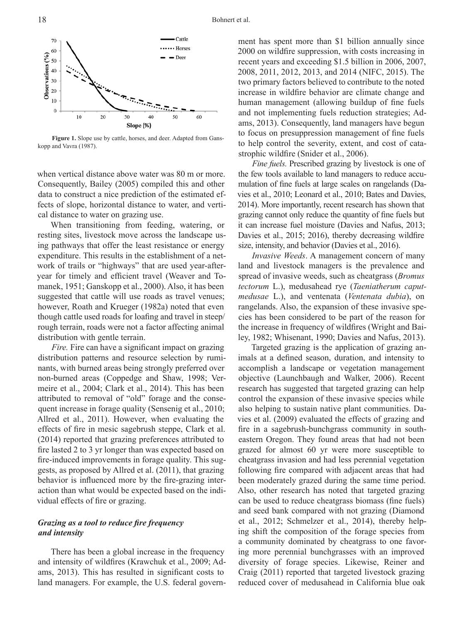

**Figure 1.** Slope use by cattle, horses, and deer. Adapted from Ganskopp and Vavra (1987).

when vertical distance above water was 80 m or more. Consequently, Bailey (2005) compiled this and other data to construct a nice prediction of the estimated effects of slope, horizontal distance to water, and vertical distance to water on grazing use.

When transitioning from feeding, watering, or resting sites, livestock move across the landscape using pathways that offer the least resistance or energy expenditure. This results in the establishment of a network of trails or "highways" that are used year-afteryear for timely and efficient travel (Weaver and Tomanek, 1951; Ganskopp et al., 2000). Also, it has been suggested that cattle will use roads as travel venues; however, Roath and Krueger (1982a) noted that even though cattle used roads for loafing and travel in steep/ rough terrain, roads were not a factor affecting animal distribution with gentle terrain.

*Fire.* Fire can have a significant impact on grazing distribution patterns and resource selection by ruminants, with burned areas being strongly preferred over non-burned areas (Coppedge and Shaw, 1998; Vermeire et al., 2004; Clark et al., 2014). This has been attributed to removal of "old" forage and the consequent increase in forage quality (Sensenig et al., 2010; Allred et al., 2011). However, when evaluating the effects of fire in mesic sagebrush steppe, Clark et al. (2014) reported that grazing preferences attributed to fire lasted 2 to 3 yr longer than was expected based on fire-induced improvements in forage quality. This suggests, as proposed by Allred et al. (2011), that grazing behavior is influenced more by the fire-grazing interaction than what would be expected based on the individual effects of fire or grazing.

## *Grazing as a tool to reduce fire frequency and intensity*

There has been a global increase in the frequency and intensity of wildfires (Krawchuk et al., 2009; Adams, 2013). This has resulted in significant costs to land managers. For example, the U.S. federal govern-

ment has spent more than \$1 billion annually since 2000 on wildfire suppression, with costs increasing in recent years and exceeding \$1.5 billion in 2006, 2007, 2008, 2011, 2012, 2013, and 2014 (NIFC, 2015). The two primary factors believed to contribute to the noted increase in wildfire behavior are climate change and human management (allowing buildup of fine fuels and not implementing fuels reduction strategies; Adams, 2013). Consequently, land managers have begun to focus on presuppression management of fine fuels to help control the severity, extent, and cost of catastrophic wildfire (Snider et al., 2006).

*Fine fuels.* Prescribed grazing by livestock is one of the few tools available to land managers to reduce accumulation of fine fuels at large scales on rangelands (Davies et al., 2010; Leonard et al., 2010; Bates and Davies, 2014). More importantly, recent research has shown that grazing cannot only reduce the quantity of fine fuels but it can increase fuel moisture (Davies and Nafus, 2013; Davies et al., 2015; 2016), thereby decreasing wildfire size, intensity, and behavior (Davies et al., 2016).

*Invasive Weeds*. A management concern of many land and livestock managers is the prevalence and spread of invasive weeds, such as cheatgrass (*Bromus tectorum* L.), medusahead rye (*Taeniatherum caputmedusae* L.), and ventenata (*Ventenata dubia*), on rangelands. Also, the expansion of these invasive species has been considered to be part of the reason for the increase in frequency of wildfires (Wright and Bailey, 1982; Whisenant, 1990; Davies and Nafus, 2013).

Targeted grazing is the application of grazing animals at a defined season, duration, and intensity to accomplish a landscape or vegetation management objective (Launchbaugh and Walker, 2006). Recent research has suggested that targeted grazing can help control the expansion of these invasive species while also helping to sustain native plant communities. Davies et al. (2009) evaluated the effects of grazing and fire in a sagebrush-bunchgrass community in southeastern Oregon. They found areas that had not been grazed for almost 60 yr were more susceptible to cheatgrass invasion and had less perennial vegetation following fire compared with adjacent areas that had been moderately grazed during the same time period. Also, other research has noted that targeted grazing can be used to reduce cheatgrass biomass (fine fuels) and seed bank compared with not grazing (Diamond et al., 2012; Schmelzer et al., 2014), thereby helping shift the composition of the forage species from a community dominated by cheatgrass to one favoring more perennial bunchgrasses with an improved diversity of forage species. Likewise, Reiner and Craig (2011) reported that targeted livestock grazing reduced cover of medusahead in California blue oak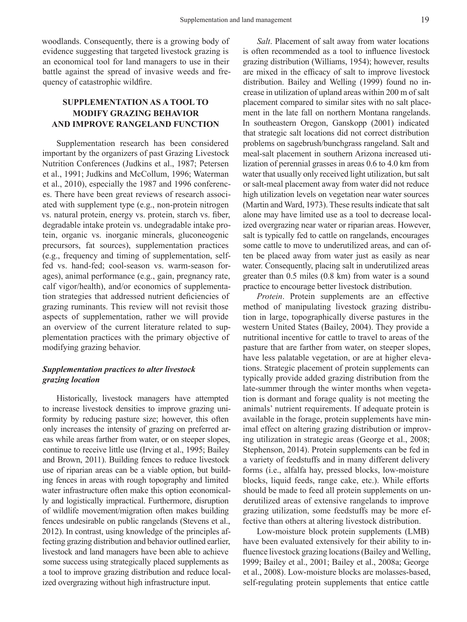woodlands. Consequently, there is a growing body of evidence suggesting that targeted livestock grazing is an economical tool for land managers to use in their battle against the spread of invasive weeds and frequency of catastrophic wildfire.

# **Supplementation as a tool to modify grazing behavior and improve rangeland function**

Supplementation research has been considered important by the organizers of past Grazing Livestock Nutrition Conferences (Judkins et al., 1987; Petersen et al., 1991; Judkins and McCollum, 1996; Waterman et al., 2010), especially the 1987 and 1996 conferences. There have been great reviews of research associated with supplement type (e.g., non-protein nitrogen vs. natural protein, energy vs. protein, starch vs. fiber, degradable intake protein vs. undegradable intake protein, organic vs. inorganic minerals, gluconeogenic precursors, fat sources), supplementation practices (e.g., frequency and timing of supplementation, selffed vs. hand-fed; cool-season vs. warm-season forages), animal performance (e.g., gain, pregnancy rate, calf vigor/health), and/or economics of supplementation strategies that addressed nutrient deficiencies of grazing ruminants. This review will not revisit those aspects of supplementation, rather we will provide an overview of the current literature related to supplementation practices with the primary objective of modifying grazing behavior.

#### *Supplementation practices to alter livestock grazing location*

Historically, livestock managers have attempted to increase livestock densities to improve grazing uniformity by reducing pasture size; however, this often only increases the intensity of grazing on preferred areas while areas farther from water, or on steeper slopes, continue to receive little use (Irving et al., 1995; Bailey and Brown, 2011). Building fences to reduce livestock use of riparian areas can be a viable option, but building fences in areas with rough topography and limited water infrastructure often make this option economically and logistically impractical. Furthermore, disruption of wildlife movement/migration often makes building fences undesirable on public rangelands (Stevens et al., 2012). In contrast, using knowledge of the principles affecting grazing distribution and behavior outlined earlier, livestock and land managers have been able to achieve some success using strategically placed supplements as a tool to improve grazing distribution and reduce localized overgrazing without high infrastructure input.

*Salt*. Placement of salt away from water locations is often recommended as a tool to influence livestock grazing distribution (Williams, 1954); however, results are mixed in the efficacy of salt to improve livestock distribution. Bailey and Welling (1999) found no increase in utilization of upland areas within 200 m of salt placement compared to similar sites with no salt placement in the late fall on northern Montana rangelands. In southeastern Oregon, Ganskopp (2001) indicated that strategic salt locations did not correct distribution problems on sagebrush/bunchgrass rangeland. Salt and meal-salt placement in southern Arizona increased utilization of perennial grasses in areas 0.6 to 4.0 km from water that usually only received light utilization, but salt or salt-meal placement away from water did not reduce high utilization levels on vegetation near water sources (Martin and Ward, 1973). These results indicate that salt alone may have limited use as a tool to decrease localized overgrazing near water or riparian areas. However, salt is typically fed to cattle on rangelands, encourages some cattle to move to underutilized areas, and can often be placed away from water just as easily as near water. Consequently, placing salt in underutilized areas greater than 0.5 miles (0.8 km) from water is a sound practice to encourage better livestock distribution.

*Protein*. Protein supplements are an effective method of manipulating livestock grazing distribution in large, topographically diverse pastures in the western United States (Bailey, 2004). They provide a nutritional incentive for cattle to travel to areas of the pasture that are farther from water, on steeper slopes, have less palatable vegetation, or are at higher elevations. Strategic placement of protein supplements can typically provide added grazing distribution from the late-summer through the winter months when vegetation is dormant and forage quality is not meeting the animals' nutrient requirements. If adequate protein is available in the forage, protein supplements have minimal effect on altering grazing distribution or improving utilization in strategic areas (George et al., 2008; Stephenson, 2014). Protein supplements can be fed in a variety of feedstuffs and in many different delivery forms (i.e., alfalfa hay, pressed blocks, low-moisture blocks, liquid feeds, range cake, etc.). While efforts should be made to feed all protein supplements on underutilized areas of extensive rangelands to improve grazing utilization, some feedstuffs may be more effective than others at altering livestock distribution.

Low-moisture block protein supplements (LMB) have been evaluated extensively for their ability to influence livestock grazing locations (Bailey and Welling, 1999; Bailey et al., 2001; Bailey et al., 2008a; George et al., 2008). Low-moisture blocks are molasses-based, self-regulating protein supplements that entice cattle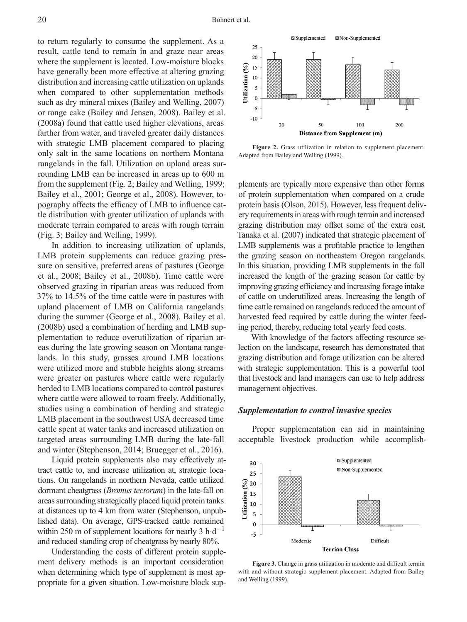to return regularly to consume the supplement. As a result, cattle tend to remain in and graze near areas where the supplement is located. Low-moisture blocks have generally been more effective at altering grazing distribution and increasing cattle utilization on uplands when compared to other supplementation methods such as dry mineral mixes (Bailey and Welling, 2007) or range cake (Bailey and Jensen, 2008). Bailey et al. (2008a) found that cattle used higher elevations, areas farther from water, and traveled greater daily distances with strategic LMB placement compared to placing only salt in the same locations on northern Montana rangelands in the fall. Utilization on upland areas surrounding LMB can be increased in areas up to 600 m from the supplement (Fig. 2; Bailey and Welling, 1999; Bailey et al., 2001; George et al., 2008). However, topography affects the efficacy of LMB to influence cattle distribution with greater utilization of uplands with moderate terrain compared to areas with rough terrain (Fig. 3; Bailey and Welling, 1999).

In addition to increasing utilization of uplands, LMB protein supplements can reduce grazing pressure on sensitive, preferred areas of pastures (George et al., 2008; Bailey et al., 2008b). Time cattle were observed grazing in riparian areas was reduced from 37% to 14.5% of the time cattle were in pastures with upland placement of LMB on California rangelands during the summer (George et al., 2008). Bailey et al. (2008b) used a combination of herding and LMB supplementation to reduce overutilization of riparian areas during the late growing season on Montana rangelands. In this study, grasses around LMB locations were utilized more and stubble heights along streams were greater on pastures where cattle were regularly herded to LMB locations compared to control pastures where cattle were allowed to roam freely. Additionally, studies using a combination of herding and strategic LMB placement in the southwest USA decreased time cattle spent at water tanks and increased utilization on targeted areas surrounding LMB during the late-fall and winter (Stephenson, 2014; Bruegger et al., 2016).

Liquid protein supplements also may effectively attract cattle to, and increase utilization at, strategic locations. On rangelands in northern Nevada, cattle utilized dormant cheatgrass (*Bromus tectorum*) in the late-fall on areas surrounding strategically placed liquid protein tanks at distances up to 4 km from water (Stephenson, unpublished data). On average, GPS-tracked cattle remained within 250 m of supplement locations for nearly 3 h $\rm d^{-1}$ and reduced standing crop of cheatgrass by nearly 80%.

Understanding the costs of different protein supplement delivery methods is an important consideration when determining which type of supplement is most appropriate for a given situation. Low-moisture block sup-



**Figure 2.** Grass utilization in relation to supplement placement. Adapted from Bailey and Welling (1999).

plements are typically more expensive than other forms of protein supplementation when compared on a crude protein basis (Olson, 2015). However, less frequent delivery requirements in areas with rough terrain and increased grazing distribution may offset some of the extra cost. Tanaka et al. (2007) indicated that strategic placement of LMB supplements was a profitable practice to lengthen the grazing season on northeastern Oregon rangelands. In this situation, providing LMB supplements in the fall increased the length of the grazing season for cattle by improving grazing efficiency and increasing forage intake of cattle on underutilized areas. Increasing the length of time cattle remained on rangelands reduced the amount of harvested feed required by cattle during the winter feeding period, thereby, reducing total yearly feed costs.

With knowledge of the factors affecting resource selection on the landscape, research has demonstrated that grazing distribution and forage utilization can be altered with strategic supplementation. This is a powerful tool that livestock and land managers can use to help address management objectives.

#### *Supplementation to control invasive species*

Proper supplementation can aid in maintaining acceptable livestock production while accomplish-



**Figure 3.** Change in grass utilization in moderate and difficult terrain with and without strategic supplement placement. Adapted from Bailey and Welling (1999).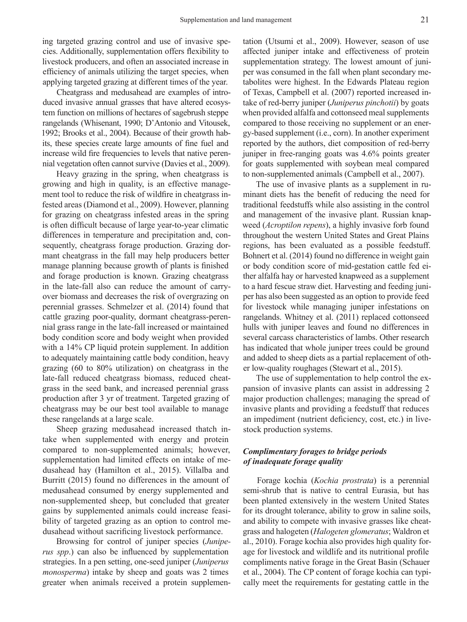ing targeted grazing control and use of invasive species. Additionally, supplementation offers flexibility to livestock producers, and often an associated increase in efficiency of animals utilizing the target species, when applying targeted grazing at different times of the year.

Cheatgrass and medusahead are examples of introduced invasive annual grasses that have altered ecosystem function on millions of hectares of sagebrush steppe rangelands (Whisenant, 1990; D'Antonio and Vitousek, 1992; Brooks et al., 2004). Because of their growth habits, these species create large amounts of fine fuel and increase wild fire frequencies to levels that native perennial vegetation often cannot survive (Davies et al., 2009).

Heavy grazing in the spring, when cheatgrass is growing and high in quality, is an effective management tool to reduce the risk of wildfire in cheatgrass infested areas (Diamond et al., 2009). However, planning for grazing on cheatgrass infested areas in the spring is often difficult because of large year-to-year climatic differences in temperature and precipitation and, consequently, cheatgrass forage production. Grazing dormant cheatgrass in the fall may help producers better manage planning because growth of plants is finished and forage production is known. Grazing cheatgrass in the late-fall also can reduce the amount of carryover biomass and decreases the risk of overgrazing on perennial grasses. Schmelzer et al. (2014) found that cattle grazing poor-quality, dormant cheatgrass-perennial grass range in the late-fall increased or maintained body condition score and body weight when provided with a 14% CP liquid protein supplement. In addition to adequately maintaining cattle body condition, heavy grazing (60 to 80% utilization) on cheatgrass in the late-fall reduced cheatgrass biomass, reduced cheatgrass in the seed bank, and increased perennial grass production after 3 yr of treatment. Targeted grazing of cheatgrass may be our best tool available to manage these rangelands at a large scale.

Sheep grazing medusahead increased thatch intake when supplemented with energy and protein compared to non-supplemented animals; however, supplementation had limited effects on intake of medusahead hay (Hamilton et al., 2015). Villalba and Burritt (2015) found no differences in the amount of medusahead consumed by energy supplemented and non-supplemented sheep, but concluded that greater gains by supplemented animals could increase feasibility of targeted grazing as an option to control medusahead without sacrificing livestock performance.

Browsing for control of juniper species (*Juniperus spp*.) can also be influenced by supplementation strategies. In a pen setting, one-seed juniper (*Juniperus monosperma*) intake by sheep and goats was 2 times greater when animals received a protein supplementation (Utsumi et al., 2009). However, season of use affected juniper intake and effectiveness of protein supplementation strategy. The lowest amount of juniper was consumed in the fall when plant secondary metabolites were highest. In the Edwards Plateau region of Texas, Campbell et al. (2007) reported increased intake of red-berry juniper (*Juniperus pinchotii*) by goats when provided alfalfa and cottonseed meal supplements compared to those receiving no supplement or an energy-based supplement (i.e., corn). In another experiment reported by the authors, diet composition of red-berry juniper in free-ranging goats was 4.6% points greater for goats supplemented with soybean meal compared to non-supplemented animals (Campbell et al., 2007).

The use of invasive plants as a supplement in ruminant diets has the benefit of reducing the need for traditional feedstuffs while also assisting in the control and management of the invasive plant. Russian knapweed (*Acroptilon repens*), a highly invasive forb found throughout the western United States and Great Plains regions, has been evaluated as a possible feedstuff. Bohnert et al. (2014) found no difference in weight gain or body condition score of mid-gestation cattle fed either alfalfa hay or harvested knapweed as a supplement to a hard fescue straw diet. Harvesting and feeding juniper has also been suggested as an option to provide feed for livestock while managing juniper infestations on rangelands. Whitney et al. (2011) replaced cottonseed hulls with juniper leaves and found no differences in several carcass characteristics of lambs. Other research has indicated that whole juniper trees could be ground and added to sheep diets as a partial replacement of other low-quality roughages (Stewart et al., 2015).

The use of supplementation to help control the expansion of invasive plants can assist in addressing 2 major production challenges; managing the spread of invasive plants and providing a feedstuff that reduces an impediment (nutrient deficiency, cost, etc.) in livestock production systems.

## *Complimentary forages to bridge periods of inadequate forage quality*

Forage kochia (*Kochia prostrata*) is a perennial semi-shrub that is native to central Eurasia, but has been planted extensively in the western United States for its drought tolerance, ability to grow in saline soils, and ability to compete with invasive grasses like cheatgrass and halogeten (*Halogeten glomeratus*; Waldron et al., 2010). Forage kochia also provides high quality forage for livestock and wildlife and its nutritional profile compliments native forage in the Great Basin (Schauer et al., 2004). The CP content of forage kochia can typically meet the requirements for gestating cattle in the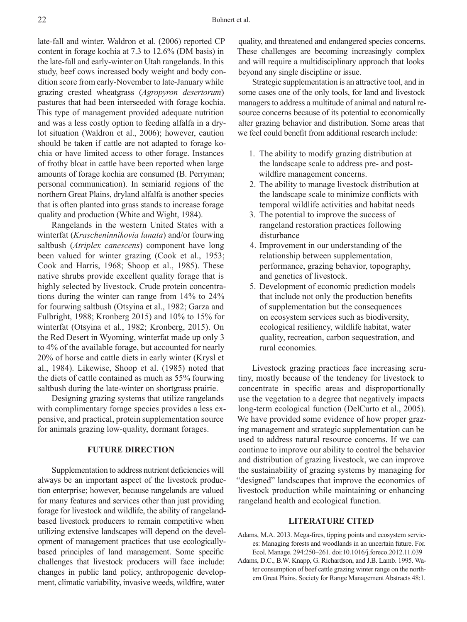late-fall and winter. Waldron et al. (2006) reported CP content in forage kochia at 7.3 to 12.6% (DM basis) in the late-fall and early-winter on Utah rangelands. In this study, beef cows increased body weight and body condition score from early-November to late-January while grazing crested wheatgrass (*Agropyron desertorum*) pastures that had been interseeded with forage kochia. This type of management provided adequate nutrition and was a less costly option to feeding alfalfa in a drylot situation (Waldron et al., 2006); however, caution should be taken if cattle are not adapted to forage kochia or have limited access to other forage. Instances of frothy bloat in cattle have been reported when large amounts of forage kochia are consumed (B. Perryman; personal communication). In semiarid regions of the northern Great Plains, dryland alfalfa is another species that is often planted into grass stands to increase forage quality and production (White and Wight, 1984).

Rangelands in the western United States with a winterfat (*Krascheninnikovia lanata*) and/or fourwing saltbush (*Atriplex canescens*) component have long been valued for winter grazing (Cook et al., 1953; Cook and Harris, 1968; Shoop et al., 1985). These native shrubs provide excellent quality forage that is highly selected by livestock. Crude protein concentrations during the winter can range from 14% to 24% for fourwing saltbush (Otsyina et al., 1982; Garza and Fulbright, 1988; Kronberg 2015) and 10% to 15% for winterfat (Otsyina et al., 1982; Kronberg, 2015). On the Red Desert in Wyoming, winterfat made up only 3 to 4% of the available forage, but accounted for nearly 20% of horse and cattle diets in early winter (Krysl et al., 1984). Likewise, Shoop et al. (1985) noted that the diets of cattle contained as much as 55% fourwing saltbush during the late-winter on shortgrass prairie.

Designing grazing systems that utilize rangelands with complimentary forage species provides a less expensive, and practical, protein supplementation source for animals grazing low-quality, dormant forages.

#### **FUTURE DIRECTION**

Supplementation to address nutrient deficiencies will always be an important aspect of the livestock production enterprise; however, because rangelands are valued for many features and services other than just providing forage for livestock and wildlife, the ability of rangelandbased livestock producers to remain competitive when utilizing extensive landscapes will depend on the development of management practices that use ecologicallybased principles of land management. Some specific challenges that livestock producers will face include: changes in public land policy, anthropogenic development, climatic variability, invasive weeds, wildfire, water

quality, and threatened and endangered species concerns. These challenges are becoming increasingly complex and will require a multidisciplinary approach that looks beyond any single discipline or issue.

Strategic supplementation is an attractive tool, and in some cases one of the only tools, for land and livestock managers to address a multitude of animal and natural resource concerns because of its potential to economically alter grazing behavior and distribution. Some areas that we feel could benefit from additional research include:

- 1. The ability to modify grazing distribution at the landscape scale to address pre- and postwildfire management concerns.
- 2. The ability to manage livestock distribution at the landscape scale to minimize conflicts with temporal wildlife activities and habitat needs
- 3. The potential to improve the success of rangeland restoration practices following disturbance
- 4. Improvement in our understanding of the relationship between supplementation, performance, grazing behavior, topography, and genetics of livestock.
- 5. Development of economic prediction models that include not only the production benefits of supplementation but the consequences on ecosystem services such as biodiversity, ecological resiliency, wildlife habitat, water quality, recreation, carbon sequestration, and rural economies.

Livestock grazing practices face increasing scrutiny, mostly because of the tendency for livestock to concentrate in specific areas and disproportionally use the vegetation to a degree that negatively impacts long-term ecological function (DelCurto et al., 2005). We have provided some evidence of how proper grazing management and strategic supplementation can be used to address natural resource concerns. If we can continue to improve our ability to control the behavior and distribution of grazing livestock, we can improve the sustainability of grazing systems by managing for "designed" landscapes that improve the economics of livestock production while maintaining or enhancing rangeland health and ecological function.

#### **LITERATURE CITED**

- Adams, M.A. 2013. Mega-fires, tipping points and ecosystem services: Managing forests and woodlands in an uncertain future. For. Ecol. Manage. 294:250–261. doi:10.1016/j.foreco.2012.11.039
- Adams, D.C., B.W. Knapp, G. Richardson, and J.B. Lamb. 1995. Water consumption of beef cattle grazing winter range on the northern Great Plains. Society for Range Management Abstracts 48:1.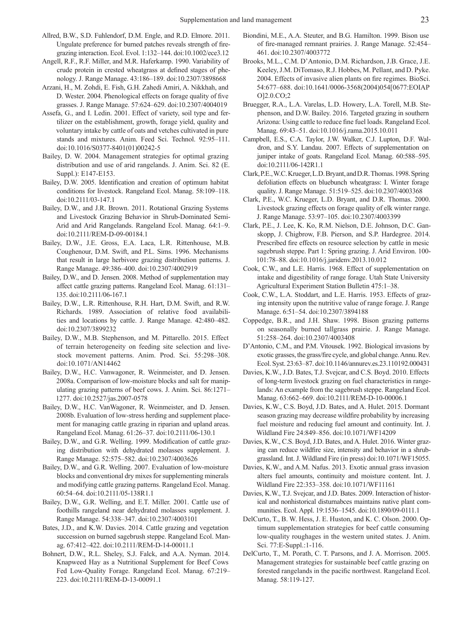- Allred, B.W., S.D. Fuhlendorf, D.M. Engle, and R.D. Elmore. 2011. Ungulate preference for burned patches reveals strength of firegrazing interaction. Ecol. Evol. 1:132–144. doi:10.1002/ece3.12
- Angell, R.F., R.F. Miller, and M.R. Haferkamp. 1990. Variability of crude protein in crested wheatgrass at defined stages of phenology. J. Range Manage. 43:186–189. doi:10.2307/3898668
- Arzani, H., M. Zohdi, E. Fish, G.H. Zahedi Amiri, A. Nikkhah, and D. Wester. 2004. Phenological effects on forage quality of five grasses. J. Range Manage. 57:624–629. doi:10.2307/4004019
- Assefa, G., and I. Ledin. 2001. Effect of variety, soil type and fertilizer on the establishment, growth, forage yield, quality and voluntary intake by cattle of oats and vetches cultivated in pure stands and mixtures. Anim. Feed Sci. Technol. 92:95–111. doi:10.1016/S0377-8401(01)00242-5
- Bailey, D. W. 2004. Management strategies for optimal grazing distribution and use of arid rangelands. J. Anim. Sci. 82 (E. Suppl.): E147-E153.
- Bailey, D.W. 2005. Identification and creation of optimum habitat conditions for livestock. Rangeland Ecol. Manag. 58:109–118. doi:10.2111/03-147.1
- Bailey, D.W., and J.R. Brown. 2011. Rotational Grazing Systems and Livestock Grazing Behavior in Shrub-Dominated Semi-Arid and Arid Rangelands. Rangeland Ecol. Manag. 64:1–9. doi:10.2111/REM-D-09-00184.1
- Bailey, D.W., J.E. Gross, E.A. Laca, L.R. Rittenhouse, M.B. Coughenour, D.M. Swift, and P.L. Sims. 1996. Mechanisms that result in large herbivore grazing distribution patterns. J. Range Manage. 49:386–400. doi:10.2307/4002919
- Bailey, D.W., and D. Jensen. 2008. Method of supplementation may affect cattle grazing patterns. Rangeland Ecol. Manag. 61:131– 135. doi:10.2111/06-167.1
- Bailey, D.W., L.R. Rittenhouse, R.H. Hart, D.M. Swift, and R.W. Richards. 1989. Association of relative food availabilities and locations by cattle. J. Range Manage. 42:480–482. doi:10.2307/3899232
- Bailey, D.W., M.B. Stephenson, and M. Pittarello. 2015. Effect of terrain heterogeneity on feeding site selection and livestock movement patterns. Anim. Prod. Sci. 55:298–308. doi:10.1071/AN14462
- Bailey, D.W., H.C. Vanwagoner, R. Weinmeister, and D. Jensen. 2008a. Comparison of low-moisture blocks and salt for manipulating grazing patterns of beef cows. J. Anim. Sci. 86:1271– 1277. doi:10.2527/jas.2007-0578
- Bailey, D.W., H.C. VanWagoner, R. Weinmeister, and D. Jensen. 2008b. Evaluation of low-stress herding and supplement placement for managing cattle grazing in riparian and upland areas. Rangeland Ecol. Manag. 61:26–37. doi:10.2111/06-130.1
- Bailey, D.W., and G.R. Welling. 1999. Modification of cattle grazing distribution with dehydrated molasses supplement. J. Range Manage. 52:575–582. doi:10.2307/4003626
- Bailey, D.W., and G.R. Welling. 2007. Evaluation of low-moisture blocks and conventional dry mixes for supplementing minerals and modifying cattle grazing patterns. Rangeland Ecol. Manag. 60:54–64. doi:10.2111/05-138R1.1
- Bailey, D.W., G.R. Welling, and E.T. Miller. 2001. Cattle use of foothills rangeland near dehydrated molasses supplement. J. Range Manage. 54:338–347. doi:10.2307/4003101
- Bates, J.D., and K.W. Davies. 2014. Cattle grazing and vegetation succession on burned sagebrush steppe. Rangeland Ecol. Manag. 67:412–422. doi:10.2111/REM-D-14-00011.1
- Bohnert, D.W., R.L. Sheley, S.J. Falck, and A.A. Nyman. 2014. Knapweed Hay as a Nutritional Supplement for Beef Cows Fed Low-Quality Forage. Rangeland Ecol. Manag. 67:219– 223. doi:10.2111/REM-D-13-00091.1
- Biondini, M.E., A.A. Steuter, and B.G. Hamilton. 1999. Bison use of fire-managed remnant prairies. J. Range Manage. 52:454– 461. doi:10.2307/4003772
- Brooks, M.L., C.M. D'Antonio, D.M. Richardson, J.B. Grace, J.E. Keeley, J.M. DiTomaso, R.J. Hobbes, M. Pellant, and D. Pyke. 2004. Effects of invasive alien plants on fire regimes. BioSci. 54:677–688. doi:10.1641/0006-3568(2004)054[0677:EOIAP O]2.0.CO;2
- Bruegger, R.A., L.A. Varelas, L.D. Howery, L.A. Torell, M.B. Stephenson, and D.W. Bailey. 2016. Targeted grazing in southern Arizona: Using cattle to reduce fine fuel loads. Rangeland Ecol. Manag. 69:43–51. doi:10.1016/j.rama.2015.10.011
- Campbell, E.S., C.A. Taylor, J.W. Walker, C.J. Lupton, D.F. Waldron, and S.Y. Landau. 2007. Effects of supplementation on juniper intake of goats. Rangeland Ecol. Manag. 60:588–595. doi:10.2111/06-142R1.1
- Clark, P.E., W.C. Krueger, L.D. Bryant, and D.R. Thomas. 1998. Spring defoliation effects on bluebunch wheatgrass: I. Winter forage quality. J. Range Manage. 51:519–525. doi:10.2307/4003368
- Clark, P.E., W.C. Krueger, L.D. Bryant, and D.R. Thomas. 2000. Livestock grazing effects on forage quality of elk winter range. J. Range Manage. 53:97–105. doi:10.2307/4003399
- Clark, P.E., J. Lee, K. Ko, R.M. Nielson, D.E. Johnson, D.C. Ganskopp, J. Chigbrow, F.B. Pierson, and S.P. Hardegree. 2014. Prescribed fire effects on resource selection by cattle in mesic sagebrush steppe. Part 1: Spring grazing. J. Arid Environ. 100- 101:78–88. doi:10.1016/j.jaridenv.2013.10.012
- Cook, C.W., and L.E. Harris. 1968. Effect of supplementation on intake and digestibility of range forage. Utah State University Agricultural Experiment Station Bulletin 475:1–38.
- Cook, C.W., L.A. Stoddart, and L.E. Harris. 1953. Effects of grazing intensity upon the nutritive value of range forage. J. Range Manage. 6:51–54. doi:10.2307/3894188
- Coppedge, B.R., and J.H. Shaw. 1998. Bison grazing patterns on seasonally burned tallgrass prairie. J. Range Manage. 51:258–264. doi:10.2307/4003408
- D'Antonio, C.M., and P.M. Vitousek. 1992. Biological invasions by exotic grasses, the grass/fire cycle, and global change. Annu. Rev. Ecol. Syst. 23:63–87. doi:10.1146/annurev.es.23.110192.000431
- Davies, K.W., J.D. Bates, T.J. Svejcar, and C.S. Boyd. 2010. Effects of long-term livestock grazing on fuel characteristics in rangelands: An example from the sagebrush steppe. Rangeland Ecol. Manag. 63:662–669. doi:10.2111/REM-D-10-00006.1
- Davies, K.W., C.S. Boyd, J.D. Bates, and A. Hulet. 2015. Dormant season grazing may decrease wildfire probability by increasing fuel moisture and reducing fuel amount and continuity. Int. J. Wildland Fire 24:849–856. doi:10.1071/WF14209
- Davies, K.W., C.S. Boyd, J.D. Bates, and A. Hulet. 2016. Winter grazing can reduce wildfire size, intensity and behavior in a shrubgrassland. Int. J. Wildland Fire (in press) doi:10.1071/WF15055.
- Davies, K.W., and A.M. Nafus. 2013. Exotic annual grass invasion alters fuel amounts, continuity and moisture content. Int. J. Wildland Fire 22:353–358. doi:10.1071/WF11161
- Davies, K.W., T.J. Svejcar, and J.D. Bates. 2009. Interaction of historical and nonhistorical disturnabces maintains native plant communities. Ecol. Appl. 19:1536–1545. doi:10.1890/09-0111.1
- DelCurto, T., B. W. Hess, J. E. Huston, and K. C. Olson. 2000. Optimum supplementation strategies for beef cattle consuming low-quality roughages in the western united states. J. Anim. Sci. 77:E-Suppl.:1-116.
- DelCurto, T., M. Porath, C. T. Parsons, and J. A. Morrison. 2005. Management strategies for sustainable beef cattle grazing on forested rangelands in the pacific northwest. Rangeland Ecol. Manag. 58:119-127.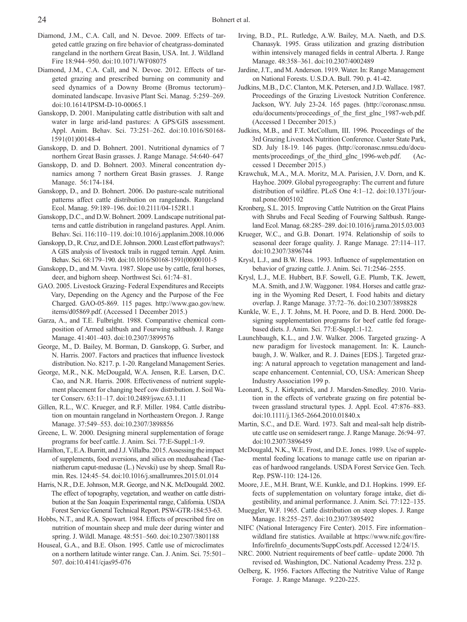- Diamond, J.M., C.A. Call, and N. Devoe. 2009. Effects of targeted cattle grazing on fire behavior of cheatgrass-dominated rangeland in the northern Great Basin, USA. Int. J. Wildland Fire 18:944–950. doi:10.1071/WF08075
- Diamond, J.M., C.A. Call, and N. Devoe. 2012. Effects of targeted grazing and prescribed burning on community and seed dynamics of a Downy Brome (Bromus tectorum)– dominated landscape. Invasive Plant Sci. Manag. 5:259–269. doi:10.1614/IPSM-D-10-00065.1
- Ganskopp, D. 2001. Manipulating cattle distribution with salt and water in large arid-land pastures: A GPS/GIS assessment. Appl. Anim. Behav. Sci. 73:251–262. doi:10.1016/S0168- 1591(01)00148-4
- Ganskopp, D. and D. Bohnert. 2001. Nutritional dynamics of 7 northern Great Basin grasses. J. Range Manage. 54:640–647
- Ganskopp, D. and D. Bohnert. 2003. Mineral concentration dynamics among 7 northern Great Basin grasses. J. Range Manage. 56:174-184.
- Ganskopp, D., and D. Bohnert. 2006. Do pasture-scale nutritional patterns affect cattle distribution on rangelands. Rangeland Ecol. Manag. 59:189–196. doi:10.2111/04-152R1.1
- Ganskopp, D.C., and D.W. Bohnert. 2009. Landscape nutritional patterns and cattle distribution in rangeland pastures. Appl. Anim. Behav. Sci. 116:110–119. doi:10.1016/j.applanim.2008.10.006
- Ganskopp, D., R. Cruz, and D.E. Johnson. 2000. Least effort pathways?: A GIS analysis of livestock trails in rugged terrain. Appl. Anim. Behav. Sci. 68:179–190. doi:10.1016/S0168-1591(00)00101-5
- Ganskopp, D., and M. Vavra. 1987. Slope use by cattle, feral horses, deer, and bighorn sheep. Northwest Sci. 61:74–81.
- GAO. 2005. Livestock Grazing- Federal Expenditures and Receipts Vary, Depending on the Agency and the Purpose of the Fee Charged. GAO-05-869. 115 pages. http://www.gao.gov/new. items/d05869.pdf. (Accessed 1 December 2015.)
- Garza, A., and T.E. Fulbright. 1988. Comparative chemical composition of Armed saltbush and Fourwing saltbush. J. Range Manage. 41:401–403. doi:10.2307/3899576
- George, M., D. Bailey, M. Borman, D. Ganskopp, G. Surber, and N. Harris. 2007. Factors and practices that influence livestock distribution. No. 8217. p. 1-20. Rangeland Management Series.
- George, M.R., N.K. McDougald, W.A. Jensen, R.E. Larsen, D.C. Cao, and N.R. Harris. 2008. Effectiveness of nutrient supplement placement for changing beef cow distribution. J. Soil Water Conserv. 63:11–17. doi:10.2489/jswc.63.1.11
- Gillen, R.L., W.C. Krueger, and R.F. Miller. 1984. Cattle distribution on mountain rangeland in Northeastern Oregon. J. Range Manage. 37:549–553. doi:10.2307/3898856
- Greene, L. W. 2000. Designing mineral supplementation of forage programs for beef cattle. J. Anim. Sci. 77:E-Suppl.:1-9.
- Hamilton, T., E.A. Burritt, and J.J. Villalba. 2015. Assessing the impact of supplements, food aversions, and silica on medusahead (Taeniatherum caput-medusae (L.) Nevski) use by sheep. Small Rumin. Res. 124:45–54. doi:10.1016/j.smallrumres.2015.01.014
- Harris, N.R., D.E. Johnson, M.R. George, and N.K. McDougald. 2002. The effect of topography, vegetation, and weather on cattle distribution at the San Joaquin Experimental range, California. USDA Forest Service General Technical Report. PSW-GTR-184:53-63.
- Hobbs, N.T., and R.A. Spowart. 1984. Effects of prescribed fire on nutrition of mountain sheep and mule deer during winter and spring. J. Wildl. Manage. 48:551–560. doi:10.2307/3801188
- Houseal, G.A., and B.E. Olson. 1995. Cattle use of microclimates on a northern latitude winter range. Can. J. Anim. Sci. 75:501– 507. doi:10.4141/cjas95-076
- Irving, B.D., P.L. Rutledge, A.W. Bailey, M.A. Naeth, and D.S. Chanasyk. 1995. Grass utilization and grazing distribution within intensively managed fields in central Alberta. J. Range Manage. 48:358–361. doi:10.2307/4002489
- Jardine, J.T., and M. Anderson. 1919. Water. In: Range Management on National Forests. U.S.D.A. Bull. 790. p. 41-42.
- Judkins, M.B., D.C. Clanton, M.K. Petersen, and J.D. Wallace. 1987. Proceedings of the Grazing Livestock Nutrition Conference. Jackson, WY. July 23-24. 165 pages. (http://coronasc.nmsu. edu/documents/proceedings\_of\_the\_first\_glnc\_1987-web.pdf. (Accessed 1 December 2015.)
- Judkins, M.B., and F.T. McCollum, III. 1996. Proceedings of the 3rd Grazing Livestock Nutrition Conference. Custer State Park, SD. July 18-19. 146 pages. (http://coronasc.nmsu.edu/documents/proceedings of the third glnc 1996-web.pdf. (Accessed 1 December 2015.)
- Krawchuk, M.A., M.A. Moritz, M.A. Parisien, J.V. Dorn, and K. Hayhoe. 2009. Global pyrogeography: The current and future distribution of wildfire. PLoS One 4:1–12. doi:10.1371/journal.pone.0005102
- Kronberg, S.L. 2015. Improving Cattle Nutrition on the Great Plains with Shrubs and Fecal Seeding of Fourwing Saltbush. Rangeland Ecol. Manag. 68:285–289. doi:10.1016/j.rama.2015.03.003
- Krueger, W.C., and G.B. Donart. 1974. Relationship of soils to seasonal deer forage quality. J. Range Manage. 27:114–117. doi:10.2307/3896744
- Krysl, L.J., and B.W. Hess. 1993. Influence of supplementation on behavior of grazing cattle. J. Anim. Sci. 71:2546–2555.
- Krysl, L.J., M.E. Hubbert, B.F. Sowell, G.E. Plumb, T.K. Jewett, M.A. Smith, and J.W. Waggoner. 1984. Horses and cattle grazing in the Wyoming Red Desert, I. Food habits and dietary overlap. J. Range Manage. 37:72–76. doi:10.2307/3898828
- Kunkle, W. E., J. T. Johns, M. H. Poore, and D. B. Herd. 2000. Designing supplementation programs for beef cattle fed foragebased diets. J. Anim. Sci. 77:E-Suppl.:1-12.
- Launchbaugh, K.L., and J.W. Walker. 2006. Targeted grazing- A new paradigm for livestock management. In: K. Launchbaugh, J. W. Walker, and R. J. Daines [EDS.]. Targeted grazing: A natural approach to vegetation management and landscape enhancement. Centennial, CO, USA: American Sheep Industry Association 199 p.
- Leonard, S., J. Kirkpatrick, and J. Marsden-Smedley. 2010. Variation in the effects of vertebrate grazing on fire potential between grassland structural types. J. Appl. Ecol. 47:876–883. doi:10.1111/j.1365-2664.2010.01840.x
- Martin, S.C., and D.E. Ward. 1973. Salt and meal-salt help distribute cattle use on semidesert range. J. Range Manage. 26:94–97. doi:10.2307/3896459
- McDougald, N.K., W.E. Frost, and D.E. Jones. 1989. Use of supplemental feeding locations to manage cattle use on riparian areas of hardwood rangelands. USDA Forest Service Gen. Tech. Rep. PSW-110: 124-126.
- Moore, J.E., M.H. Brant, W.E. Kunkle, and D.I. Hopkins. 1999. Effects of supplementation on voluntary forage intake, diet digestibility, and animal performance. J. Anim. Sci. 77:122–135.
- Mueggler, W.F. 1965. Cattle distribution on steep slopes. J. Range Manage. 18:255–257. doi:10.2307/3895492
- NIFC (National Interagency Fire Center). 2015. Fire information– wildland fire statistics. Available at https://www.nifc.gov/fire-Info/fireInfo\_documents/SuppCosts.pdf. Accessed 12/24/15.
- NRC. 2000. Nutrient requirements of beef cattle– update 2000. 7th revised ed. Washington, DC. National Academy Press. 232 p.
- Oelberg, K. 1956. Factors Affecting the Nutritive Value of Range Forage. J. Range Manage. 9:220-225.